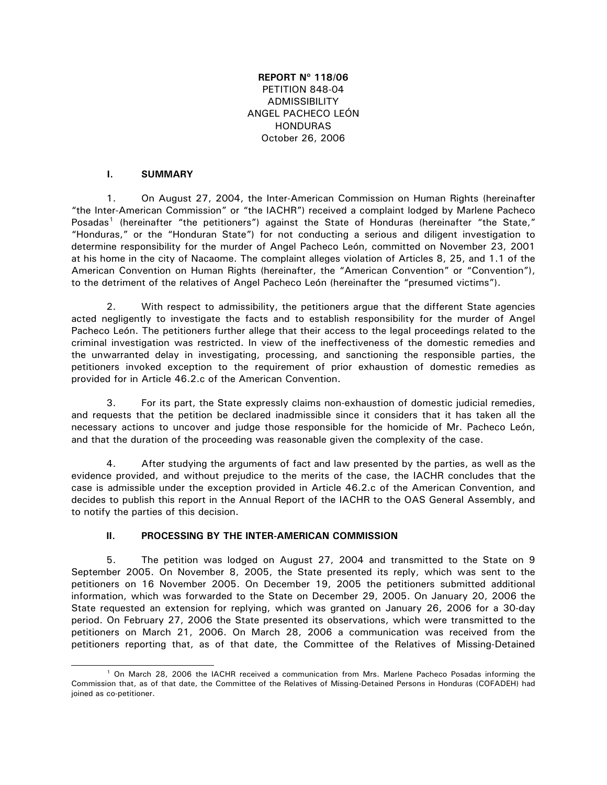# **REPORT Nº 118/06** PETITION 848-04 ADMISSIBILITY ANGEL PACHECO LEÓN HONDURAS October 26, 2006

### **I. SUMMARY**

1. On August 27, 2004, the Inter-American Commission on Human Rights (hereinafter "the Inter-American Commission" or "the IACHR") received a complaint lodged by Marlene Pacheco Posadas<sup>[1](#page-0-0)</sup> (hereinafter "the petitioners") against the State of Honduras (hereinafter "the State," "Honduras," or the "Honduran State") for not conducting a serious and diligent investigation to determine responsibility for the murder of Angel Pacheco León, committed on November 23, 2001 at his home in the city of Nacaome. The complaint alleges violation of Articles 8, 25, and 1.1 of the American Convention on Human Rights (hereinafter, the "American Convention" or "Convention"), to the detriment of the relatives of Angel Pacheco León (hereinafter the "presumed victims").

2. With respect to admissibility, the petitioners argue that the different State agencies acted negligently to investigate the facts and to establish responsibility for the murder of Angel Pacheco León. The petitioners further allege that their access to the legal proceedings related to the criminal investigation was restricted. In view of the ineffectiveness of the domestic remedies and the unwarranted delay in investigating, processing, and sanctioning the responsible parties, the petitioners invoked exception to the requirement of prior exhaustion of domestic remedies as provided for in Article 46.2.c of the American Convention.

3. For its part, the State expressly claims non-exhaustion of domestic judicial remedies, and requests that the petition be declared inadmissible since it considers that it has taken all the necessary actions to uncover and judge those responsible for the homicide of Mr. Pacheco León, and that the duration of the proceeding was reasonable given the complexity of the case.

4. After studying the arguments of fact and law presented by the parties, as well as the evidence provided, and without prejudice to the merits of the case, the IACHR concludes that the case is admissible under the exception provided in Article 46.2.c of the American Convention, and decides to publish this report in the Annual Report of the IACHR to the OAS General Assembly, and to notify the parties of this decision.

#### **II. PROCESSING BY THE INTER-AMERICAN COMMISSION**

5. The petition was lodged on August 27, 2004 and transmitted to the State on 9 September 2005. On November 8, 2005, the State presented its reply, which was sent to the petitioners on 16 November 2005. On December 19, 2005 the petitioners submitted additional information, which was forwarded to the State on December 29, 2005. On January 20, 2006 the State requested an extension for replying, which was granted on January 26, 2006 for a 30-day period. On February 27, 2006 the State presented its observations, which were transmitted to the petitioners on March 21, 2006. On March 28, 2006 a communication was received from the petitioners reporting that, as of that date, the Committee of the Relatives of Missing-Detained

<span id="page-0-0"></span> <sup>1</sup> On March 28, 2006 the IACHR received a communication from Mrs. Marlene Pacheco Posadas informing the Commission that, as of that date, the Committee of the Relatives of Missing-Detained Persons in Honduras (COFADEH) had joined as co-petitioner.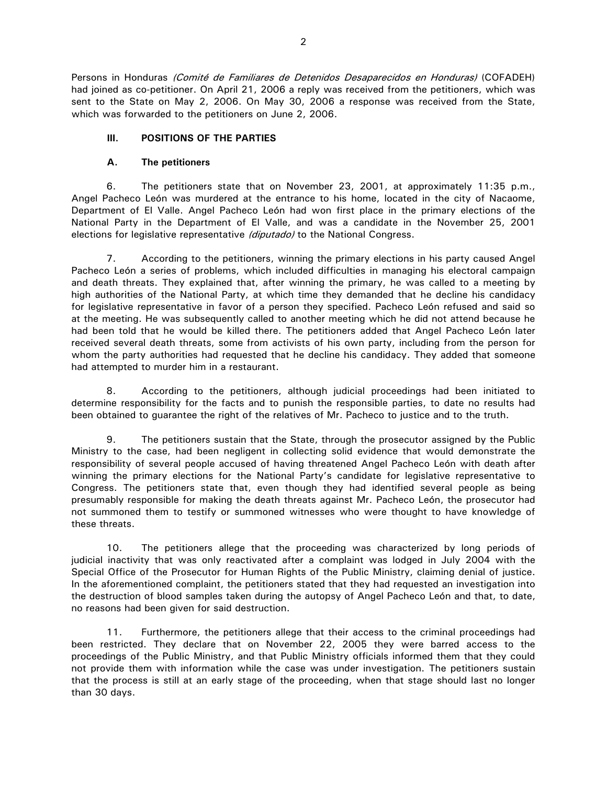Persons in Honduras *(Comité de Familiares de Detenidos Desaparecidos en Honduras)* (COFADEH) had joined as co-petitioner. On April 21, 2006 a reply was received from the petitioners, which was sent to the State on May 2, 2006. On May 30, 2006 a response was received from the State, which was forwarded to the petitioners on June 2, 2006.

# **III. POSITIONS OF THE PARTIES**

### **A. The petitioners**

6. The petitioners state that on November 23, 2001, at approximately 11:35 p.m., Angel Pacheco León was murdered at the entrance to his home, located in the city of Nacaome, Department of El Valle. Angel Pacheco León had won first place in the primary elections of the National Party in the Department of El Valle, and was a candidate in the November 25, 2001 elections for legislative representative (diputado) to the National Congress.

7. According to the petitioners, winning the primary elections in his party caused Angel Pacheco León a series of problems, which included difficulties in managing his electoral campaign and death threats. They explained that, after winning the primary, he was called to a meeting by high authorities of the National Party, at which time they demanded that he decline his candidacy for legislative representative in favor of a person they specified. Pacheco León refused and said so at the meeting. He was subsequently called to another meeting which he did not attend because he had been told that he would be killed there. The petitioners added that Angel Pacheco León later received several death threats, some from activists of his own party, including from the person for whom the party authorities had requested that he decline his candidacy. They added that someone had attempted to murder him in a restaurant.

8. According to the petitioners, although judicial proceedings had been initiated to determine responsibility for the facts and to punish the responsible parties, to date no results had been obtained to guarantee the right of the relatives of Mr. Pacheco to justice and to the truth.

9. The petitioners sustain that the State, through the prosecutor assigned by the Public Ministry to the case, had been negligent in collecting solid evidence that would demonstrate the responsibility of several people accused of having threatened Angel Pacheco León with death after winning the primary elections for the National Party's candidate for legislative representative to Congress. The petitioners state that, even though they had identified several people as being presumably responsible for making the death threats against Mr. Pacheco León, the prosecutor had not summoned them to testify or summoned witnesses who were thought to have knowledge of these threats.

10. The petitioners allege that the proceeding was characterized by long periods of judicial inactivity that was only reactivated after a complaint was lodged in July 2004 with the Special Office of the Prosecutor for Human Rights of the Public Ministry, claiming denial of justice. In the aforementioned complaint, the petitioners stated that they had requested an investigation into the destruction of blood samples taken during the autopsy of Angel Pacheco León and that, to date, no reasons had been given for said destruction.

11. Furthermore, the petitioners allege that their access to the criminal proceedings had been restricted. They declare that on November 22, 2005 they were barred access to the proceedings of the Public Ministry, and that Public Ministry officials informed them that they could not provide them with information while the case was under investigation. The petitioners sustain that the process is still at an early stage of the proceeding, when that stage should last no longer than 30 days.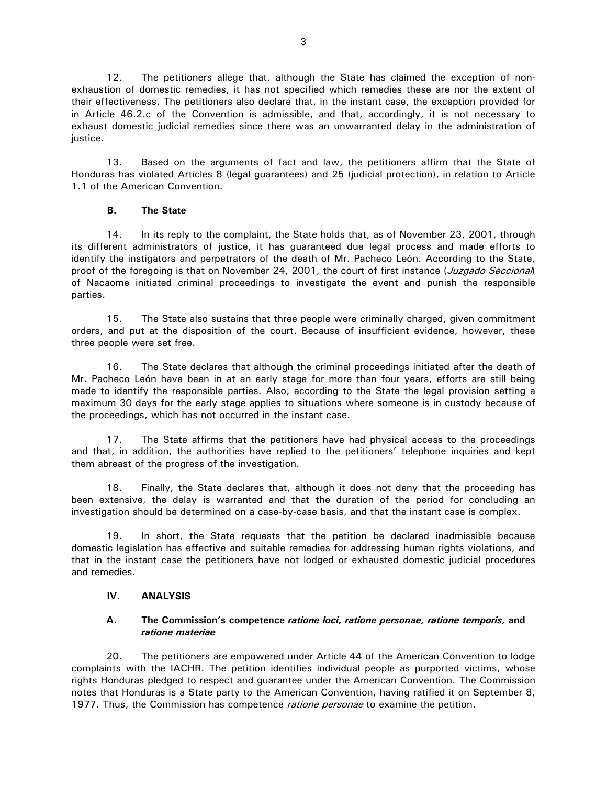12. The petitioners allege that, although the State has claimed the exception of nonexhaustion of domestic remedies, it has not specified which remedies these are nor the extent of their effectiveness. The petitioners also declare that, in the instant case, the exception provided for in Article 46.2.c of the Convention is admissible, and that, accordingly, it is not necessary to exhaust domestic judicial remedies since there was an unwarranted delay in the administration of justice.

13. Based on the arguments of fact and law, the petitioners affirm that the State of Honduras has violated Articles 8 (legal guarantees) and 25 (judicial protection), in relation to Article 1.1 of the American Convention.

# **B. The State**

14. In its reply to the complaint, the State holds that, as of November 23, 2001, through its different administrators of justice, it has guaranteed due legal process and made efforts to identify the instigators and perpetrators of the death of Mr. Pacheco León. According to the State, proof of the foregoing is that on November 24, 2001, the court of first instance (Juzgado Seccional) of Nacaome initiated criminal proceedings to investigate the event and punish the responsible parties.

15. The State also sustains that three people were criminally charged, given commitment orders, and put at the disposition of the court. Because of insufficient evidence, however, these three people were set free.

16. The State declares that although the criminal proceedings initiated after the death of Mr. Pacheco León have been in at an early stage for more than four years, efforts are still being made to identify the responsible parties. Also, according to the State the legal provision setting a maximum 30 days for the early stage applies to situations where someone is in custody because of the proceedings, which has not occurred in the instant case.

17. The State affirms that the petitioners have had physical access to the proceedings and that, in addition, the authorities have replied to the petitioners' telephone inquiries and kept them abreast of the progress of the investigation.

18. Finally, the State declares that, although it does not deny that the proceeding has been extensive, the delay is warranted and that the duration of the period for concluding an investigation should be determined on a case-by-case basis, and that the instant case is complex.

19. In short, the State requests that the petition be declared inadmissible because domestic legislation has effective and suitable remedies for addressing human rights violations, and that in the instant case the petitioners have not lodged or exhausted domestic judicial procedures and remedies.

# **IV. ANALYSIS**

# **A. The Commission's competence** *ratione loci, ratione personae, ratione temporis,* **and** *ratione materiae*

20. The petitioners are empowered under Article 44 of the American Convention to lodge complaints with the IACHR. The petition identifies individual people as purported victims, whose rights Honduras pledged to respect and guarantee under the American Convention. The Commission notes that Honduras is a State party to the American Convention, having ratified it on September 8, 1977. Thus, the Commission has competence *ratione personae* to examine the petition.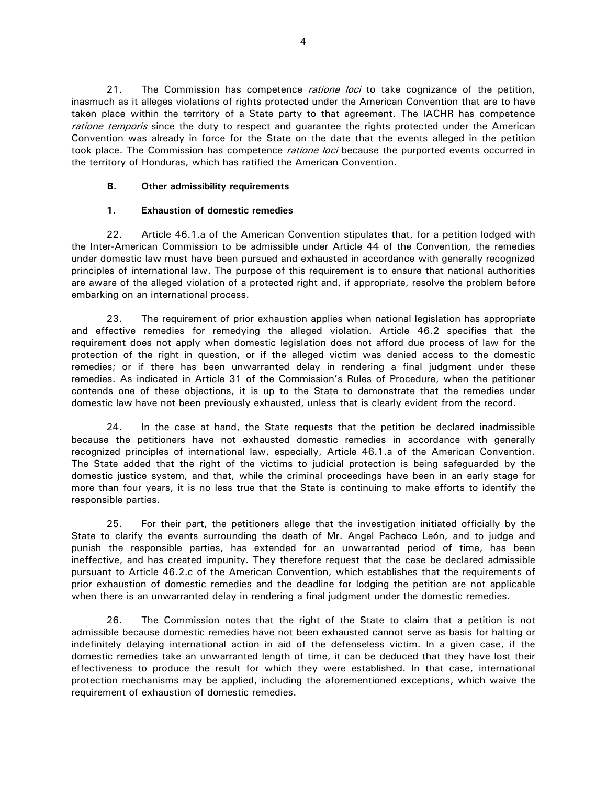21. The Commission has competence *ratione loci* to take cognizance of the petition, inasmuch as it alleges violations of rights protected under the American Convention that are to have taken place within the territory of a State party to that agreement. The IACHR has competence ratione temporis since the duty to respect and guarantee the rights protected under the American Convention was already in force for the State on the date that the events alleged in the petition took place. The Commission has competence *ratione loci* because the purported events occurred in the territory of Honduras, which has ratified the American Convention.

### **B. Other admissibility requirements**

# **1. Exhaustion of domestic remedies**

22. Article 46.1.a of the American Convention stipulates that, for a petition lodged with the Inter-American Commission to be admissible under Article 44 of the Convention, the remedies under domestic law must have been pursued and exhausted in accordance with generally recognized principles of international law. The purpose of this requirement is to ensure that national authorities are aware of the alleged violation of a protected right and, if appropriate, resolve the problem before embarking on an international process.

23. The requirement of prior exhaustion applies when national legislation has appropriate and effective remedies for remedying the alleged violation. Article 46.2 specifies that the requirement does not apply when domestic legislation does not afford due process of law for the protection of the right in question, or if the alleged victim was denied access to the domestic remedies; or if there has been unwarranted delay in rendering a final judgment under these remedies. As indicated in Article 31 of the Commission's Rules of Procedure, when the petitioner contends one of these objections, it is up to the State to demonstrate that the remedies under domestic law have not been previously exhausted, unless that is clearly evident from the record.

24. In the case at hand, the State requests that the petition be declared inadmissible because the petitioners have not exhausted domestic remedies in accordance with generally recognized principles of international law, especially, Article 46.1.a of the American Convention. The State added that the right of the victims to judicial protection is being safeguarded by the domestic justice system, and that, while the criminal proceedings have been in an early stage for more than four years, it is no less true that the State is continuing to make efforts to identify the responsible parties.

25. For their part, the petitioners allege that the investigation initiated officially by the State to clarify the events surrounding the death of Mr. Angel Pacheco León, and to judge and punish the responsible parties, has extended for an unwarranted period of time, has been ineffective, and has created impunity. They therefore request that the case be declared admissible pursuant to Article 46.2.c of the American Convention, which establishes that the requirements of prior exhaustion of domestic remedies and the deadline for lodging the petition are not applicable when there is an unwarranted delay in rendering a final judgment under the domestic remedies.

26. The Commission notes that the right of the State to claim that a petition is not admissible because domestic remedies have not been exhausted cannot serve as basis for halting or indefinitely delaying international action in aid of the defenseless victim. In a given case, if the domestic remedies take an unwarranted length of time, it can be deduced that they have lost their effectiveness to produce the result for which they were established. In that case, international protection mechanisms may be applied, including the aforementioned exceptions, which waive the requirement of exhaustion of domestic remedies.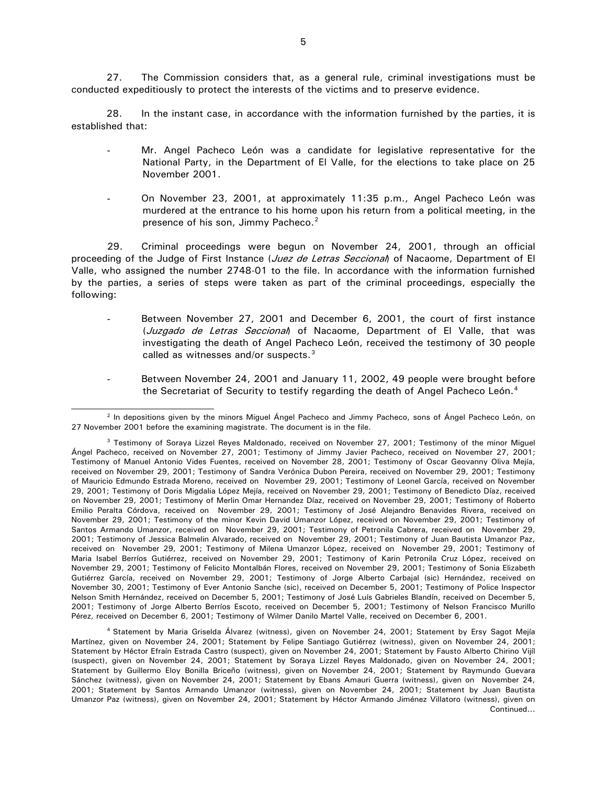27. The Commission considers that, as a general rule, criminal investigations must be conducted expeditiously to protect the interests of the victims and to preserve evidence.

28. In the instant case, in accordance with the information furnished by the parties, it is established that:

- Mr. Angel Pacheco León was a candidate for legislative representative for the National Party, in the Department of El Valle, for the elections to take place on 25 November 2001.
- On November 23, 2001, at approximately 11:35 p.m., Angel Pacheco León was murdered at the entrance to his home upon his return from a political meeting, in the presence of his son, Jimmy Pacheco.<sup>2</sup>

29. Criminal proceedings were begun on November 24, 2001, through an official proceeding of the Judge of First Instance (*Juez de Letras Seccional*) of Nacaome, Department of El Valle, who assigned the number 2748-01 to the file. In accordance with the information furnished by the parties, a series of steps were taken as part of the criminal proceedings, especially the following:

- Between November 27, 2001 and December 6, 2001, the court of first instance (Juzgado de Letras Seccional) of Nacaome, Department of El Valle, that was investigating the death of Angel Pacheco León, received the testimony of 30 people called as witnesses and/or suspects.<sup>[3](#page-4-1)</sup>
- Between November 24, 2001 and January 11, 2002, 49 people were brought before the Secretariat of Security to testify regarding the death of Angel Pacheco León.<sup>[4](#page-4-2)</sup>

<span id="page-4-0"></span> $\overline{a}$ <sup>2</sup> In depositions given by the minors Miguel Ángel Pacheco and Jimmy Pacheco, sons of Ángel Pacheco León, on 27 November 2001 before the examining magistrate. The document is in the file.

<span id="page-4-1"></span><sup>&</sup>lt;sup>3</sup> Testimony of Soraya Lizzel Reyes Maldonado, received on November 27, 2001; Testimony of the minor Miguel Ángel Pacheco, received on November 27, 2001; Testimony of Jimmy Javier Pacheco, received on November 27, 2001; Testimony of Manuel Antonio Vides Fuentes, received on November 28, 2001; Testimony of Oscar Geovanny Oliva Mejía, received on November 29, 2001; Testimony of Sandra Verónica Dubon Pereira, received on November 29, 2001; Testimony of Mauricio Edmundo Estrada Moreno, received on November 29, 2001; Testimony of Leonel García, received on November 29, 2001; Testimony of Doris Migdalia López Mejía, received on November 29, 2001; Testimony of Benedicto Díaz, received on November 29, 2001; Testimony of Merlin Omar Hernandez Díaz, received on November 29, 2001; Testimony of Roberto Emilio Peralta Córdova, received on November 29, 2001; Testimony of José Alejandro Benavides Rivera, received on November 29, 2001; Testimony of the minor Kevin David Umanzor López, received on November 29, 2001; Testimony of Santos Armando Umanzor, received on November 29, 2001; Testimony of Petronila Cabrera, received on November 29, 2001; Testimony of Jessica Balmelin Alvarado, received on November 29, 2001; Testimony of Juan Bautista Umanzor Paz, received on November 29, 2001; Testimony of Milena Umanzor López, received on November 29, 2001; Testimony of Maria Isabel Berríos Gutiérrez, received on November 29, 2001; Testimony of Karin Petronila Cruz López, received on November 29, 2001; Testimony of Felicito Montalbán Flores, received on November 29, 2001; Testimony of Sonia Elizabeth Gutiérrez García, received on November 29, 2001; Testimony of Jorge Alberto Carbajal (sic) Hernández, received on November 30, 2001; Testimony of Ever Antonio Sanche (sic), received on December 5, 2001; Testimony of Police Inspector Nelson Smith Hernández, received on December 5, 2001; Testimony of José Luís Gabrieles Blandín, received on December 5, 2001; Testimony of Jorge Alberto Berríos Escoto, received on December 5, 2001; Testimony of Nelson Francisco Murillo Pérez, received on December 6, 2001; Testimony of Wilmer Danilo Martel Valle, received on December 6, 2001.

<span id="page-4-2"></span>Continued... 4 Statement by Maria Griselda Álvarez (witness), given on November 24, 2001; Statement by Ersy Sagot Mejía Martínez, given on November 24, 2001; Statement by Felipe Santiago Gutiérrez (witness), given on November 24, 2001; Statement by Héctor Efraín Estrada Castro (suspect), given on November 24, 2001; Statement by Fausto Alberto Chirino Vijíl (suspect), given on November 24, 2001; Statement by Soraya Lizzel Reyes Maldonado, given on November 24, 2001; Statement by Guillermo Eloy Bonilla Briceño (witness), given on November 24, 2001; Statement by Raymundo Guevara Sánchez (witness), given on November 24, 2001; Statement by Ebans Amauri Guerra (witness), given on November 24, 2001; Statement by Santos Armando Umanzor (witness), given on November 24, 2001; Statement by Juan Bautista Umanzor Paz (witness), given on November 24, 2001; Statement by Héctor Armando Jiménez Villatoro (witness), given on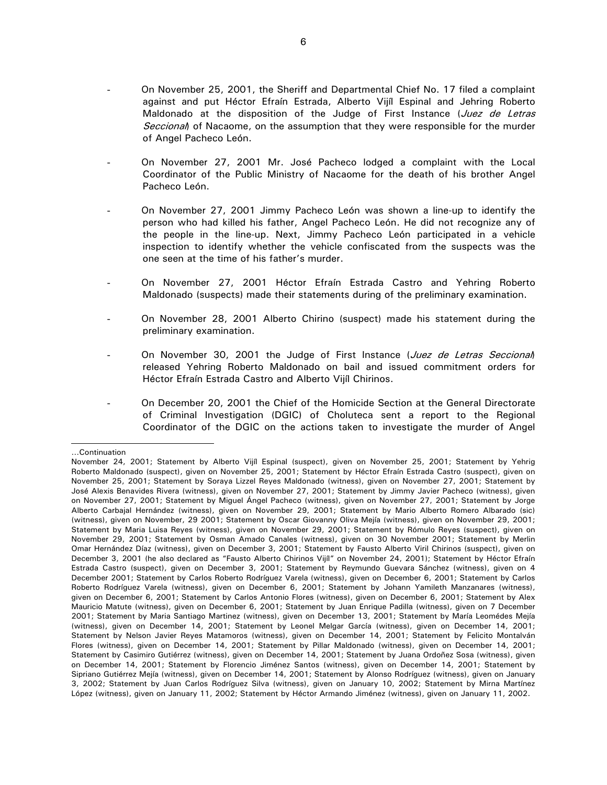- On November 25, 2001, the Sheriff and Departmental Chief No. 17 filed a complaint against and put Héctor Efraín Estrada, Alberto Vijíl Espinal and Jehring Roberto Maldonado at the disposition of the Judge of First Instance (Juez de Letras Seccional) of Nacaome, on the assumption that they were responsible for the murder of Angel Pacheco León.
- On November 27, 2001 Mr. José Pacheco lodged a complaint with the Local Coordinator of the Public Ministry of Nacaome for the death of his brother Angel Pacheco León.
- On November 27, 2001 Jimmy Pacheco León was shown a line-up to identify the person who had killed his father, Angel Pacheco León. He did not recognize any of the people in the line-up. Next, Jimmy Pacheco León participated in a vehicle inspection to identify whether the vehicle confiscated from the suspects was the one seen at the time of his father's murder.
- On November 27, 2001 Héctor Efraín Estrada Castro and Yehring Roberto Maldonado (suspects) made their statements during of the preliminary examination.
- On November 28, 2001 Alberto Chirino (suspect) made his statement during the preliminary examination.
- On November 30, 2001 the Judge of First Instance (Juez de Letras Seccional) released Yehring Roberto Maldonado on bail and issued commitment orders for Héctor Efraín Estrada Castro and Alberto Vijíl Chirinos.
- On December 20, 2001 the Chief of the Homicide Section at the General Directorate of Criminal Investigation (DGIC) of Choluteca sent a report to the Regional Coordinator of the DGIC on the actions taken to investigate the murder of Angel

 $\overline{a}$ …Continuation

November 24, 2001; Statement by Alberto Vijíl Espinal (suspect), given on November 25, 2001; Statement by Yehrig Roberto Maldonado (suspect), given on November 25, 2001; Statement by Héctor Efraín Estrada Castro (suspect), given on November 25, 2001; Statement by Soraya Lizzel Reyes Maldonado (witness), given on November 27, 2001; Statement by José Alexis Benavides Rivera (witness), given on November 27, 2001; Statement by Jimmy Javier Pacheco (witness), given on November 27, 2001; Statement by Miguel Ángel Pacheco (witness), given on November 27, 2001; Statement by Jorge Alberto Carbajal Hernández (witness), given on November 29, 2001; Statement by Mario Alberto Romero Albarado (sic) (witness), given on November, 29 2001; Statement by Oscar Giovanny Oliva Mejía (witness), given on November 29, 2001; Statement by Maria Luisa Reyes (witness), given on November 29, 2001; Statement by Rómulo Reyes (suspect), given on November 29, 2001; Statement by Osman Amado Canales (witness), given on 30 November 2001; Statement by Merlin Omar Hernández Díaz (witness), given on December 3, 2001; Statement by Fausto Alberto Viril Chirinos (suspect), given on December 3, 2001 (he also declared as "Fausto Alberto Chirinos Vijíl" on November 24, 2001); Statement by Héctor Efraín Estrada Castro (suspect), given on December 3, 2001; Statement by Reymundo Guevara Sánchez (witness), given on 4 December 2001; Statement by Carlos Roberto Rodríguez Varela (witness), given on December 6, 2001; Statement by Carlos Roberto Rodríguez Varela (witness), given on December 6, 2001; Statement by Johann Yamileth Manzanares (witness), given on December 6, 2001; Statement by Carlos Antonio Flores (witness), given on December 6, 2001; Statement by Alex Mauricio Matute (witness), given on December 6, 2001; Statement by Juan Enrique Padilla (witness), given on 7 December 2001; Statement by Maria Santiago Martinez (witness), given on December 13, 2001; Statement by María Leomédes Mejía (witness), given on December 14, 2001; Statement by Leonel Melgar García (witness), given on December 14, 2001; Statement by Nelson Javier Reyes Matamoros (witness), given on December 14, 2001; Statement by Felicito Montalván Flores (witness), given on December 14, 2001; Statement by Pillar Maldonado (witness), given on December 14, 2001; Statement by Casimiro Gutiérrez (witness), given on December 14, 2001; Statement by Juana Ordoñez Sosa (witness), given on December 14, 2001; Statement by Florencio Jiménez Santos (witness), given on December 14, 2001; Statement by Sipriano Gutiérrez Mejía (witness), given on December 14, 2001; Statement by Alonso Rodríguez (witness), given on January 3, 2002; Statement by Juan Carlos Rodríguez Silva (witness), given on January 10, 2002; Statement by Mirna Martínez López (witness), given on January 11, 2002; Statement by Héctor Armando Jiménez (witness), given on January 11, 2002.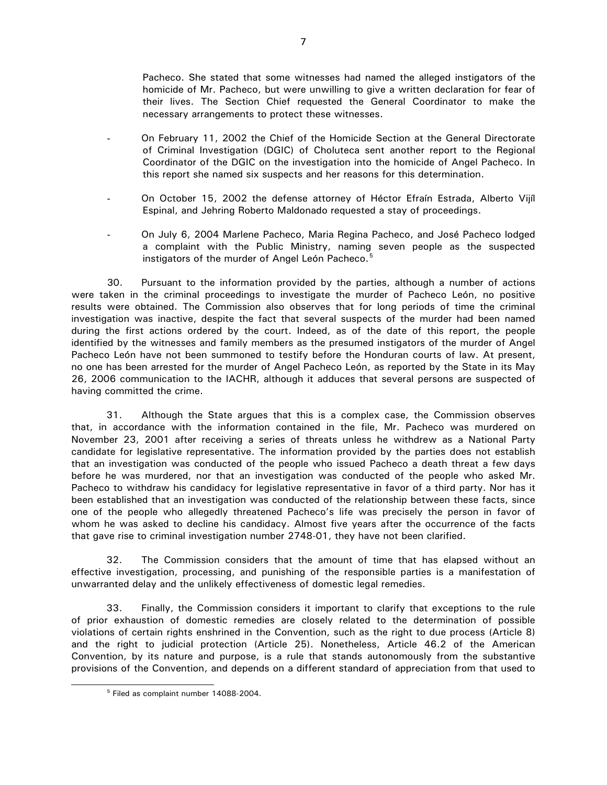Pacheco. She stated that some witnesses had named the alleged instigators of the homicide of Mr. Pacheco, but were unwilling to give a written declaration for fear of their lives. The Section Chief requested the General Coordinator to make the necessary arrangements to protect these witnesses.

- On February 11, 2002 the Chief of the Homicide Section at the General Directorate of Criminal Investigation (DGIC) of Choluteca sent another report to the Regional Coordinator of the DGIC on the investigation into the homicide of Angel Pacheco. In this report she named six suspects and her reasons for this determination.
- On October 15, 2002 the defense attorney of Héctor Efraín Estrada, Alberto Vijíl Espinal, and Jehring Roberto Maldonado requested a stay of proceedings.
- On July 6, 2004 Marlene Pacheco, Maria Regina Pacheco, and José Pacheco lodged a complaint with the Public Ministry, naming seven people as the suspected instigators of the murder of Angel León Pacheco.<sup>[5](#page-6-0)</sup>

30. Pursuant to the information provided by the parties, although a number of actions were taken in the criminal proceedings to investigate the murder of Pacheco León, no positive results were obtained. The Commission also observes that for long periods of time the criminal investigation was inactive, despite the fact that several suspects of the murder had been named during the first actions ordered by the court. Indeed, as of the date of this report, the people identified by the witnesses and family members as the presumed instigators of the murder of Angel Pacheco León have not been summoned to testify before the Honduran courts of law. At present, no one has been arrested for the murder of Angel Pacheco León, as reported by the State in its May 26, 2006 communication to the IACHR, although it adduces that several persons are suspected of having committed the crime.

31. Although the State argues that this is a complex case, the Commission observes that, in accordance with the information contained in the file, Mr. Pacheco was murdered on November 23, 2001 after receiving a series of threats unless he withdrew as a National Party candidate for legislative representative. The information provided by the parties does not establish that an investigation was conducted of the people who issued Pacheco a death threat a few days before he was murdered, nor that an investigation was conducted of the people who asked Mr. Pacheco to withdraw his candidacy for legislative representative in favor of a third party. Nor has it been established that an investigation was conducted of the relationship between these facts, since one of the people who allegedly threatened Pacheco's life was precisely the person in favor of whom he was asked to decline his candidacy. Almost five years after the occurrence of the facts that gave rise to criminal investigation number 2748-01, they have not been clarified.

32. The Commission considers that the amount of time that has elapsed without an effective investigation, processing, and punishing of the responsible parties is a manifestation of unwarranted delay and the unlikely effectiveness of domestic legal remedies.

33. Finally, the Commission considers it important to clarify that exceptions to the rule of prior exhaustion of domestic remedies are closely related to the determination of possible violations of certain rights enshrined in the Convention, such as the right to due process (Article 8) and the right to judicial protection (Article 25). Nonetheless, Article 46.2 of the American Convention, by its nature and purpose, is a rule that stands autonomously from the substantive provisions of the Convention, and depends on a different standard of appreciation from that used to

<span id="page-6-0"></span> <sup>5</sup> Filed as complaint number 14088-2004.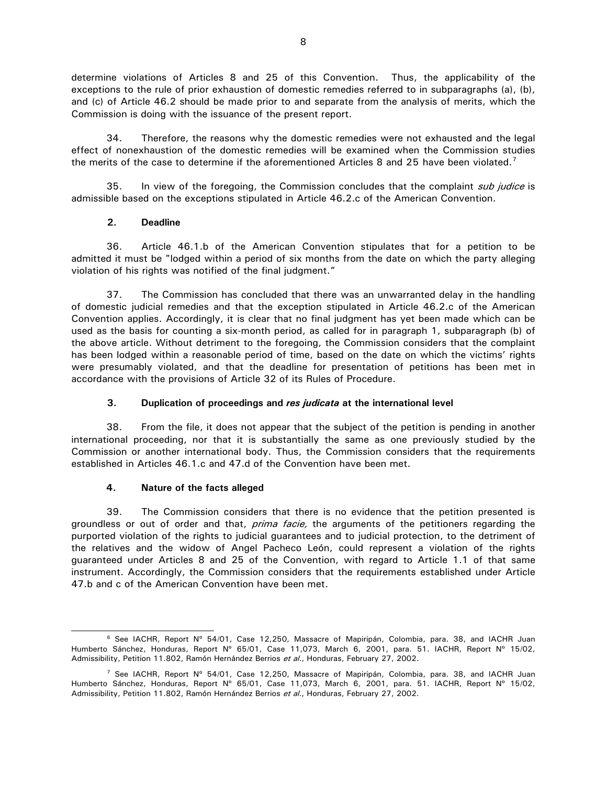determine violations of Articles 8 and 25 of this Convention. Thus, the applicability of the exceptions to the rule of prior exhaustion of domestic remedies referred to in subparagraphs (a), (b), and (c) of Article 46.2 should be made prior to and separate from the analysis of merits, which the Commission is doing with the issuance of the present report.

34. Therefore, the reasons why the domestic remedies were not exhausted and the legal effect of nonexhaustion of the domestic remedies will be examined when the Commission studies the merits of the case to determine if the aforementioned Articles 8 and 2[5](#page-7-0) have been violated.<sup>[7](#page-7-1)</sup>

35. In view of the foregoing, the Commission concludes that the complaint *sub judice* is admissible based on the exceptions stipulated in Article 46.2.c of the American Convention.

# **2. Deadline**

36. Article 46.1.b of the American Convention stipulates that for a petition to be admitted it must be "lodged within a period of six months from the date on which the party alleging violation of his rights was notified of the final judgment."

37. The Commission has concluded that there was an unwarranted delay in the handling of domestic judicial remedies and that the exception stipulated in Article 46.2.c of the American Convention applies. Accordingly, it is clear that no final judgment has yet been made which can be used as the basis for counting a six-month period, as called for in paragraph 1, subparagraph (b) of the above article. Without detriment to the foregoing, the Commission considers that the complaint has been lodged within a reasonable period of time, based on the date on which the victims' rights were presumably violated, and that the deadline for presentation of petitions has been met in accordance with the provisions of Article 32 of its Rules of Procedure.

# **3. Duplication of proceedings and** *res judicata* **at the international level**

38. From the file, it does not appear that the subject of the petition is pending in another international proceeding, nor that it is substantially the same as one previously studied by the Commission or another international body. Thus, the Commission considers that the requirements established in Articles 46.1.c and 47.d of the Convention have been met.

#### **4. Nature of the facts alleged**

39. The Commission considers that there is no evidence that the petition presented is groundless or out of order and that, *prima facie*, the arguments of the petitioners regarding the purported violation of the rights to judicial guarantees and to judicial protection, to the detriment of the relatives and the widow of Angel Pacheco León, could represent a violation of the rights guaranteed under Articles 8 and 25 of the Convention, with regard to Article 1.1 of that same instrument. Accordingly, the Commission considers that the requirements established under Article 47.b and c of the American Convention have been met.

<span id="page-7-0"></span><sup>&</sup>lt;sup>6</sup> See IACHR, Report Nº 54/01, Case 12,250, Massacre of Mapiripán, Colombia, para. 38, and IACHR Juan Humberto Sánchez, Honduras, Report Nº 65/01, Case 11,073, March 6, 2001, para. 51. IACHR, Report Nº 15/02, Admissibility, Petition 11.802, Ramón Hernández Berrios et al., Honduras, February 27, 2002.

<span id="page-7-1"></span><sup>&</sup>lt;sup>7</sup> See IACHR, Report Nº 54/01, Case 12,250, Massacre of Mapiripán, Colombia, para. 38, and IACHR Juan Humberto Sánchez, Honduras, Report Nº 65/01, Case 11,073, March 6, 2001, para. 51. IACHR, Report Nº 15/02, Admissibility, Petition 11.802, Ramón Hernández Berrios et al., Honduras, February 27, 2002.